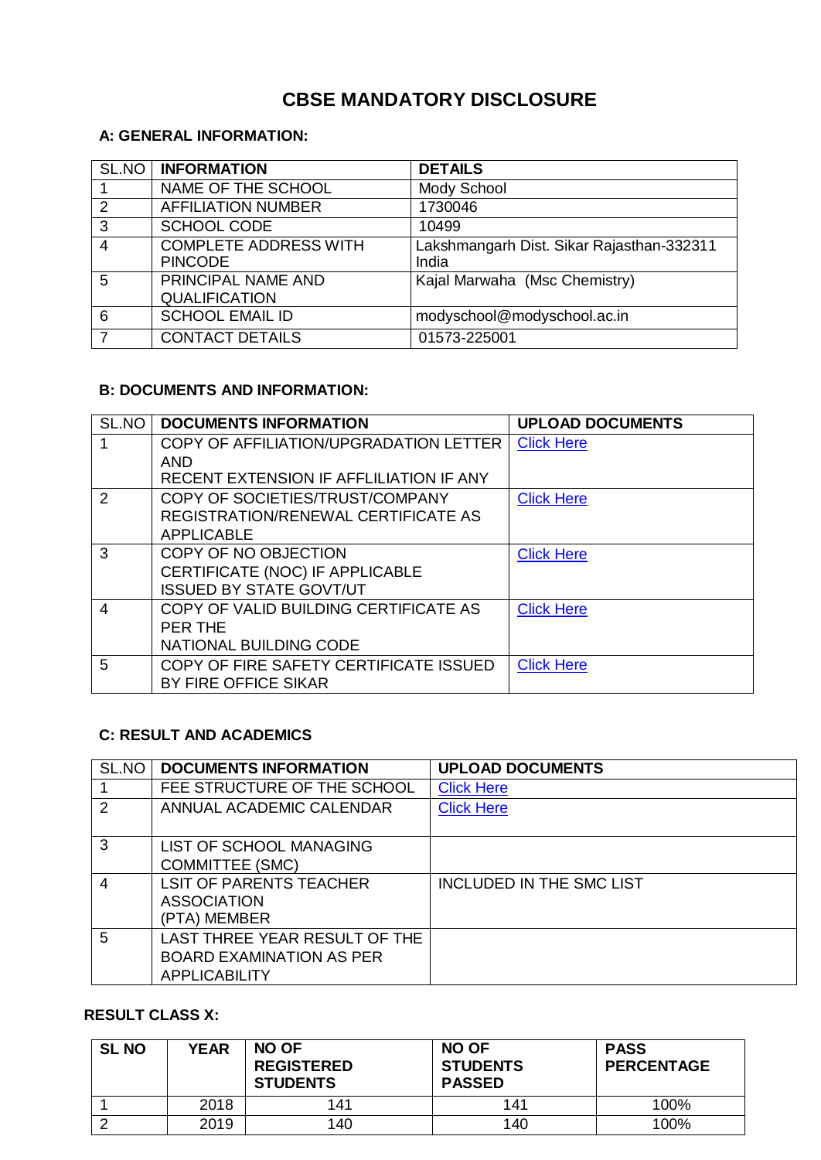# **CBSE MANDATORY DISCLOSURE**

## **A: GENERAL INFORMATION:**

| SL.NO          | <b>INFORMATION</b>                             | <b>DETAILS</b>                                     |
|----------------|------------------------------------------------|----------------------------------------------------|
|                | NAME OF THE SCHOOL                             | Mody School                                        |
| 2              | <b>AFFILIATION NUMBER</b>                      | 1730046                                            |
| $\mathbf{3}$   | SCHOOL CODE                                    | 10499                                              |
| $\overline{4}$ | <b>COMPLETE ADDRESS WITH</b><br><b>PINCODE</b> | Lakshmangarh Dist. Sikar Rajasthan-332311<br>India |
| 5              | PRINCIPAL NAME AND<br><b>QUALIFICATION</b>     | Kajal Marwaha (Msc Chemistry)                      |
| 6              | <b>SCHOOL EMAIL ID</b>                         | modyschool@modyschool.ac.in                        |
| 7              | <b>CONTACT DETAILS</b>                         | 01573-225001                                       |

#### **B: DOCUMENTS AND INFORMATION:**

| SL.NO          | <b>DOCUMENTS INFORMATION</b>            | <b>UPLOAD DOCUMENTS</b> |
|----------------|-----------------------------------------|-------------------------|
|                | COPY OF AFFILIATION/UPGRADATION LETTER  | <b>Click Here</b>       |
|                | AND                                     |                         |
|                | RECENT EXTENSION IF AFFLILIATION IF ANY |                         |
| 2              | COPY OF SOCIETIES/TRUST/COMPANY         | <b>Click Here</b>       |
|                | REGISTRATION/RENEWAL CERTIFICATE AS     |                         |
|                | <b>APPLICABLE</b>                       |                         |
| 3              | COPY OF NO OBJECTION                    | <b>Click Here</b>       |
|                | CERTIFICATE (NOC) IF APPLICABLE         |                         |
|                | <b>ISSUED BY STATE GOVT/UT</b>          |                         |
| $\overline{4}$ | COPY OF VALID BUILDING CERTIFICATE AS   | <b>Click Here</b>       |
|                | PER THE                                 |                         |
|                | <b>NATIONAL BUILDING CODE</b>           |                         |
| 5              | COPY OF FIRE SAFETY CERTIFICATE ISSUED  | <b>Click Here</b>       |
|                | BY FIRE OFFICE SIKAR                    |                         |

## **C: RESULT AND ACADEMICS**

| SL.NO          | <b>DOCUMENTS INFORMATION</b>    | <b>UPLOAD DOCUMENTS</b>  |
|----------------|---------------------------------|--------------------------|
|                | FEE STRUCTURE OF THE SCHOOL     | <b>Click Here</b>        |
| 2              | ANNUAL ACADEMIC CALENDAR        | <b>Click Here</b>        |
|                |                                 |                          |
| 3              | LIST OF SCHOOL MANAGING         |                          |
|                | <b>COMMITTEE (SMC)</b>          |                          |
| $\overline{4}$ | <b>LSIT OF PARENTS TEACHER</b>  | INCLUDED IN THE SMC LIST |
|                | <b>ASSOCIATION</b>              |                          |
|                | (PTA) MEMBER                    |                          |
| 5              | LAST THREE YEAR RESULT OF THE   |                          |
|                | <b>BOARD EXAMINATION AS PER</b> |                          |
|                | <b>APPLICABILITY</b>            |                          |

#### **RESULT CLASS X:**

| <b>SL NO</b> | <b>YEAR</b> | NO OF<br><b>REGISTERED</b><br><b>STUDENTS</b> | <b>NO OF</b><br><b>STUDENTS</b><br><b>PASSED</b> | <b>PASS</b><br><b>PERCENTAGE</b> |
|--------------|-------------|-----------------------------------------------|--------------------------------------------------|----------------------------------|
|              | 2018        | 141                                           | 141                                              | 100%                             |
|              | 2019        | 140                                           | 140                                              | 100%                             |